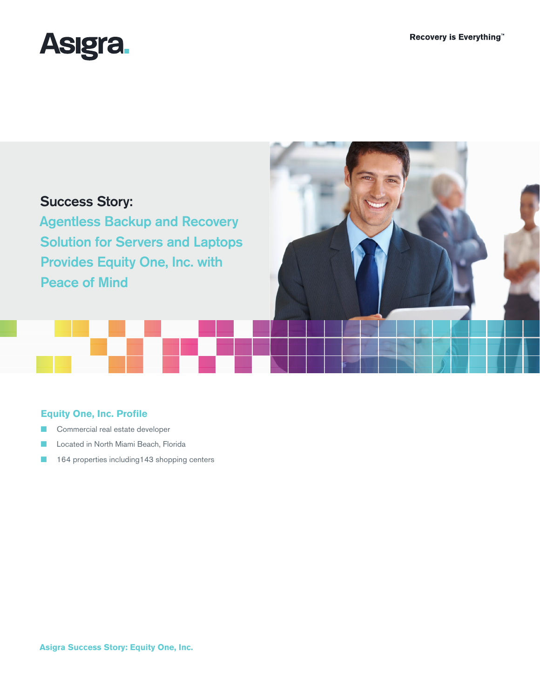



# **Equity One, Inc. Profile**

- Commercial real estate developer
- Located in North Miami Beach, Florida
- 164 properties including143 shopping centers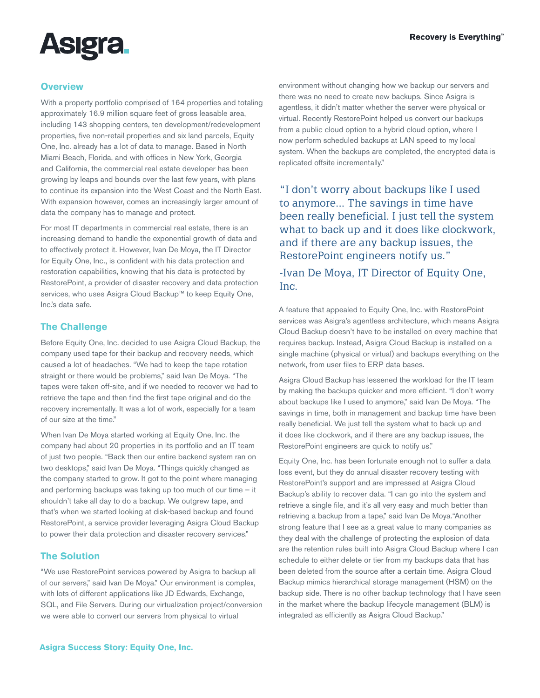

## **Overview**

With a property portfolio comprised of 164 properties and totaling approximately 16.9 million square feet of gross leasable area, including 143 shopping centers, ten development/redevelopment properties, five non-retail properties and six land parcels, Equity One, Inc. already has a lot of data to manage. Based in North Miami Beach, Florida, and with offices in New York, Georgia and California, the commercial real estate developer has been growing by leaps and bounds over the last few years, with plans to continue its expansion into the West Coast and the North East. With expansion however, comes an increasingly larger amount of data the company has to manage and protect.

For most IT departments in commercial real estate, there is an increasing demand to handle the exponential growth of data and to effectively protect it. However, Ivan De Moya, the IT Director for Equity One, Inc., is confident with his data protection and restoration capabilities, knowing that his data is protected by RestorePoint, a provider of disaster recovery and data protection services, who uses Asigra Cloud Backup™ to keep Equity One, Inc.'s data safe.

## **The Challenge**

Before Equity One, Inc. decided to use Asigra Cloud Backup, the company used tape for their backup and recovery needs, which caused a lot of headaches. "We had to keep the tape rotation straight or there would be problems," said Ivan De Moya. "The tapes were taken off-site, and if we needed to recover we had to retrieve the tape and then find the first tape original and do the recovery incrementally. It was a lot of work, especially for a team of our size at the time."

When Ivan De Moya started working at Equity One, Inc. the company had about 20 properties in its portfolio and an IT team of just two people. "Back then our entire backend system ran on two desktops," said Ivan De Moya. "Things quickly changed as the company started to grow. It got to the point where managing and performing backups was taking up too much of our time – it shouldn't take all day to do a backup. We outgrew tape, and that's when we started looking at disk-based backup and found RestorePoint, a service provider leveraging Asigra Cloud Backup to power their data protection and disaster recovery services."

#### **The Solution**

"We use RestorePoint services powered by Asigra to backup all of our servers," said Ivan De Moya." Our environment is complex, with lots of different applications like JD Edwards, Exchange, SQL, and File Servers. During our virtualization project/conversion we were able to convert our servers from physical to virtual

environment without changing how we backup our servers and there was no need to create new backups. Since Asigra is agentless, it didn't matter whether the server were physical or virtual. Recently RestorePoint helped us convert our backups from a public cloud option to a hybrid cloud option, where I now perform scheduled backups at LAN speed to my local system. When the backups are completed, the encrypted data is replicated offsite incrementally."

"I don't worry about backups like I used to anymore... The savings in time have been really beneficial. I just tell the system what to back up and it does like clockwork, and if there are any backup issues, the RestorePoint engineers notify us."

-Ivan De Moya, IT Director of Equity One, Inc.

A feature that appealed to Equity One, Inc. with RestorePoint services was Asigra's agentless architecture, which means Asigra Cloud Backup doesn't have to be installed on every machine that requires backup. Instead, Asigra Cloud Backup is installed on a single machine (physical or virtual) and backups everything on the network, from user files to ERP data bases.

Asigra Cloud Backup has lessened the workload for the IT team by making the backups quicker and more efficient. "I don't worry about backups like I used to anymore," said Ivan De Moya. "The savings in time, both in management and backup time have been really beneficial. We just tell the system what to back up and it does like clockwork, and if there are any backup issues, the RestorePoint engineers are quick to notify us."

Equity One, Inc. has been fortunate enough not to suffer a data loss event, but they do annual disaster recovery testing with RestorePoint's support and are impressed at Asigra Cloud Backup's ability to recover data. "I can go into the system and retrieve a single file, and it's all very easy and much better than retrieving a backup from a tape," said Ivan De Moya."Another strong feature that I see as a great value to many companies as they deal with the challenge of protecting the explosion of data are the retention rules built into Asigra Cloud Backup where I can schedule to either delete or tier from my backups data that has been deleted from the source after a certain time. Asigra Cloud Backup mimics hierarchical storage management (HSM) on the backup side. There is no other backup technology that I have seen in the market where the backup lifecycle management (BLM) is integrated as efficiently as Asigra Cloud Backup."